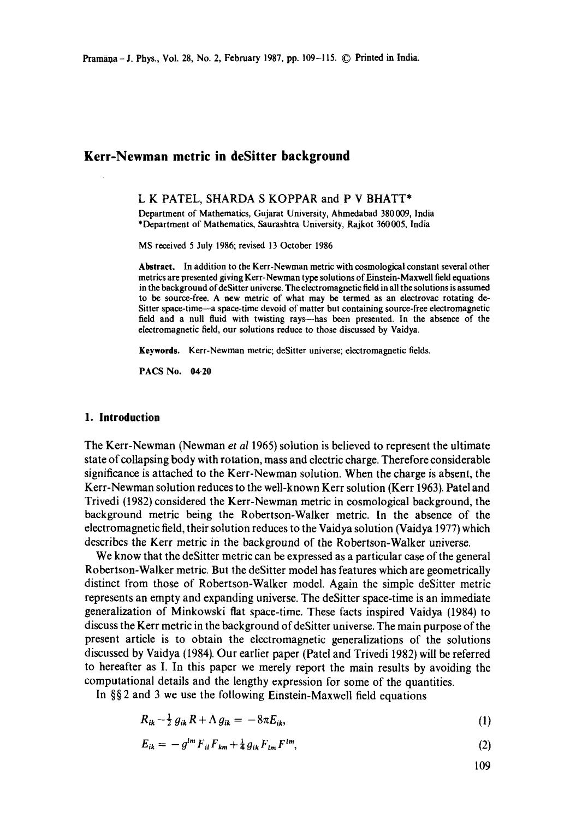# **Kerr-Newman metric in deSitter background**

#### L K PATEL, SHARDA S KOPPAR and P V BHATT\*

Department of Mathematics, Gujarat University, Ahmedabad 380009, India \*Department of Mathematics, Saurashtra University, Rajkot 360005, India

MS received 5 July 1986; revised 13 October 1986

**Abstract.** In addition to the Kerr-Newman metric with cosmological constant several other metrics are presented giving Kerr-Newman type solutions of Einstein-Maxwell field equations in the background of deSitter universe. The electromagnetic field in all the solutions is assumed to be source-free. A new metric of what may be termed as an electrovac rotating de-Sitter space-time---a space-time devoid of matter but containing source-free electromagnetic field and a null fluid with twisting rays--has been presented. In the absence of the electromagnetic field, our solutions reduce to those discussed by Vaidya.

**Keywords.** Kerr-Newman metric; deSitter universe; electromagnetic fields.

PACS No. 04-20

## **1. Introduction**

The Kerr-Newman (Newman *et al* 1965) solution is believed to represent the ultimate state of collapsing body with rotation, mass and electric charge. Therefore considerable significance is attached to the Kerr-Newman solution. When the charge is absent, the Kerr-Newman solution reduces to the well-known Kerr solution (Kerr 1963). Patel and Trivedi (1982) considered the Kerr-Newman metric in cosmological background, the background metric being the Robertson-Walker metric. In the absence of the electromagnetic field, their solution reduces to the Vaidya solution (Vaidya 1977) which describes the Kerr metric in the background of the Robertson-Walker universe.

We know that the deSitter metric can be expressed as a particular case of the general Robertson-Walker metric. But the deSitter model has features which are geometrically distinct from those of Robertson-Walker model. Again the simple deSitter metric represents an empty and expanding universe. The deSitter space-time is an immediate generalization of Minkowski flat space-time. These facts inspired Vaidya (1984) to discuss the Kerr metric in the background of deSitter universe. The main purpose of the present article is to obtain the electromagnetic generalizations of the solutions discussed by Vaidya (1984). Our earlier paper (Patel and Trivedi 1982) will be referred to hereafter as I. In this paper we merely report the main results by avoiding the computational details and the lengthy expression for some of the quantities.

In §§ 2 and 3 we use the following Einstein-Maxwell field equations

$$
R_{ik} - \frac{1}{2} g_{ik} R + \Lambda g_{ik} = -8\pi E_{ik}, \qquad (1)
$$

$$
E_{ik} = -g^{lm} F_{il} F_{km} + \frac{1}{4} g_{ik} F_{lm} F^{lm}, \qquad (2)
$$

109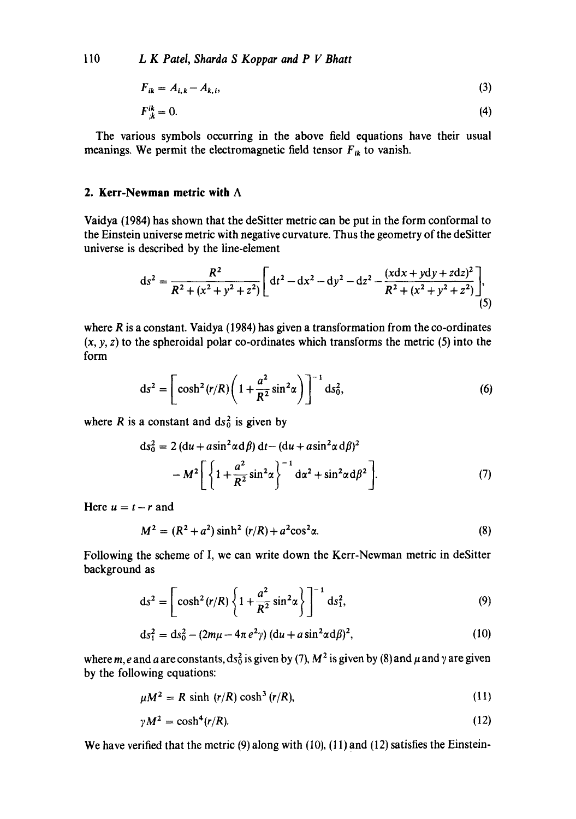110 *L K Patel, Sharda S Koppar and P V Bhatt* 

$$
F_{ik} = A_{i,k} - A_{k,i},\tag{3}
$$

$$
F_{k}^{ik} = 0. \tag{4}
$$

The various symbols occurring in the above field equations have their usual meanings. We permit the electromagnetic field tensor  $F_{ik}$  to vanish.

## **2. Kerr-Newman metric with A**

Vaidya (1984) has shown that the deSitter metric can be put in the form conformal to the Einstein universe metric with negative curvature. Thus the geometry of the deSitter universe is described by the line-element

$$
ds^{2} = \frac{R^{2}}{R^{2} + (x^{2} + y^{2} + z^{2})} \left[ dt^{2} - dx^{2} - dy^{2} - dz^{2} - \frac{(xdx + ydy + zdz)^{2}}{R^{2} + (x^{2} + y^{2} + z^{2})} \right],
$$
\n(5)

where  $R$  is a constant. Vaidya (1984) has given a transformation from the co-ordinates  $(x, y, z)$  to the spheroidal polar co-ordinates which transforms the metric  $(5)$  into the form

$$
ds^{2} = \left[\cosh^{2}(r/R)\left(1 + \frac{a^{2}}{R^{2}}\sin^{2}\alpha\right)\right]^{-1} ds_{0}^{2},
$$
\n(6)

where R is a constant and  $ds_0^2$  is given by

$$
ds_0^2 = 2 (du + a\sin^2\alpha d\beta) dt - (du + a\sin^2\alpha d\beta)^2
$$

$$
- M^2 \left[ \left\{ 1 + \frac{a^2}{R^2} \sin^2\alpha \right\}^{-1} d\alpha^2 + \sin^2\alpha d\beta^2 \right]. \tag{7}
$$

Here  $u = t - r$  and

$$
M^{2} = (R^{2} + a^{2})\sinh^{2}(r/R) + a^{2}\cos^{2}\alpha.
$$
 (8)

Following the scheme of I, we can write down the Kerr-Newman metric in deSitter background as

$$
ds^{2} = \left[\cosh^{2}(r/R)\left\{1 + \frac{a^{2}}{R^{2}}\sin^{2}\alpha\right\}\right]^{-1} ds_{1}^{2},
$$
\n(9)

$$
ds_1^2 = ds_0^2 - (2m\mu - 4\pi e^2 \gamma) (du + a \sin^2 \alpha d\beta)^2, \qquad (10)
$$

where m, e and a are constants, ds<sup>2</sup> is given by (7),  $M^2$  is given by (8) and  $\mu$  and  $\gamma$  are given by the following equations:

$$
\mu M^2 = R \sinh (r/R) \cosh^3 (r/R), \qquad (11)
$$

$$
\gamma M^2 = \cosh^4(r/R). \tag{12}
$$

We have verified that the metric (9) along with (10), (11) and (12) satisfies the Einstein-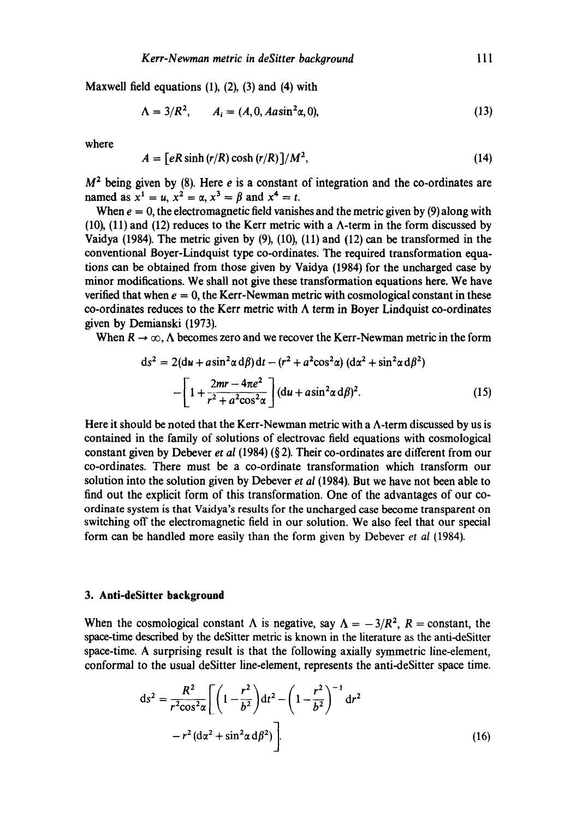Maxwell field equations  $(1)$ ,  $(2)$ ,  $(3)$  and  $(4)$  with

$$
\Lambda = 3/R^2, \qquad A_i = (A, 0, Aasin^2\alpha, 0), \tag{13}
$$

where

$$
A = \left[ eR\sinh\left(\frac{r}{R}\right)\cosh\left(\frac{r}{R}\right)\right]/M^2,\tag{14}
$$

 $M<sup>2</sup>$  being given by (8). Here *e* is a constant of integration and the co-ordinates are named as  $x^1 = u$ ,  $x^2 = \alpha$ ,  $x^3 = \beta$  and  $x^4 = t$ .

When  $e = 0$ , the electromagnetic field vanishes and the metric given by (9) along with (10), (11) and (12) reduces to the Kerr metric with a A-term in the form discussed by Vaidya (1984). The metric given by (9), (10), (11) and (12) can be transformed in the conventional Boyer-Lindquist type co-ordinates. The required transformation equations can be obtained from those given by Vaidya (1984) for the uncharged case by minor modifications. We shall not give these transformation equations here. We have verified that when  $e = 0$ , the Kerr-Newman metric with cosmological constant in these co-ordinates reduces to the Kerr metric with  $\Lambda$  term in Boyer Lindquist co-ordinates given by Demianski (1973).

When  $R \to \infty$ ,  $\Lambda$  becomes zero and we recover the Kerr-Newman metric in the form

$$
ds2 = 2(du + a\sin2 \alpha d\beta) dt - (r2 + a2 \cos2 \alpha) (d\alpha2 + \sin2 \alpha d\beta2)
$$
  
 
$$
- \left[1 + \frac{2mr - 4\pi e2}{r2 + a2 \cos2 \alpha}\right] (du + a\sin2 \alpha d\beta)2.
$$
(15)

Here it should be noted that the Kerr-Newman metric with a  $\Lambda$ -term discussed by us is contained in the family of solutions of electrovac field equations with cosmological constant given by Debever *et al* (1984) (§ 2). Their co-ordinates are different from our co-ordinates. There must be a co-ordinate transformation which transform our solution into the solution given by Debever *et al* (1984). But we have not been able to find out the explicit form of this transformation. One of the advantages of our coordinate system is that Vaidya's results for the uncharged case become transparent on switching off the electromagnetic field in our solution. We also feel that our special form can be handled more easily than the form given by Debever *et al* (1984).

### **3. Anti-deSitter background**

When the cosmological constant  $\Lambda$  is negative, say  $\Lambda = -3/R^2$ ,  $R = \text{constant}$ , the space-time described by the deSitter metric is known in the literature as the anti-deSitter space-time. A surprising result is that the following axially symmetric line-element, conformal to the usual deSitter line-element, represents the anti-deSitter space time.

$$
ds^{2} = \frac{R^{2}}{r^{2} \cos^{2} \alpha} \left[ \left( 1 - \frac{r^{2}}{b^{2}} \right) dt^{2} - \left( 1 - \frac{r^{2}}{b^{2}} \right)^{-1} dr^{2} - r^{2} (d\alpha^{2} + \sin^{2} \alpha d\beta^{2}) \right].
$$
 (16)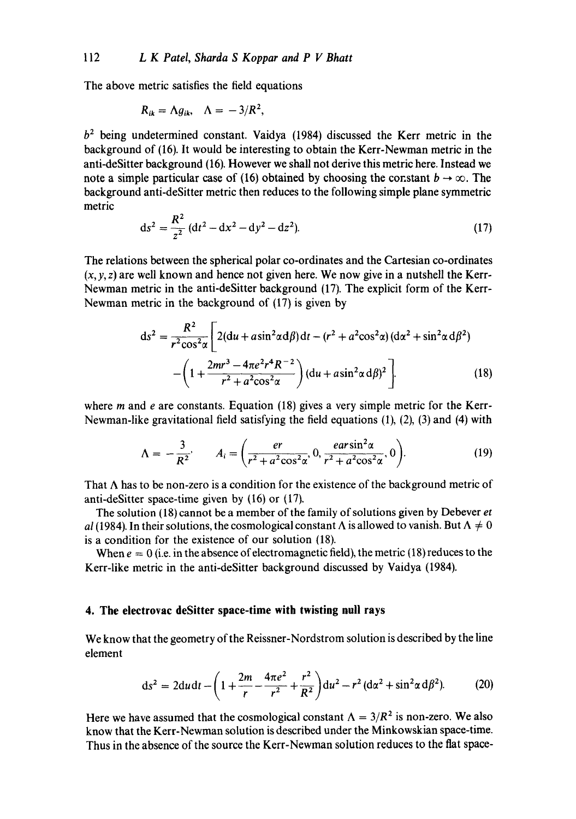The above metric satisfies the field equations

$$
R_{ik} = \Lambda g_{ik}, \quad \Lambda = -3/R^2,
$$

 $b<sup>2</sup>$  being undetermined constant. Vaidya (1984) discussed the Kerr metric in the background of (16). It would be interesting to obtain the Kerr-Newman metric in the anti-deSitter background (16). However we shall not derive this metric here. Instead we note a simple particular case of (16) obtained by choosing the constant  $b \to \infty$ . The background anti-deSitter metric then reduces to the following simple plane symmetric metric

$$
ds^{2} = \frac{R^{2}}{z^{2}} (dt^{2} - dx^{2} - dy^{2} - dz^{2}).
$$
 (17)

The relations between the spherical polar co-ordinates and the Cartesian co-ordinates  $(x, y, z)$  are well known and hence not given here. We now give in a nutshell the Kerr-Newman metric in the anti-deSitter background (17). The explicit form of the Kerr-Newman metric in the background of (17) is given by

$$
ds^{2} = \frac{R^{2}}{r^{2} \cos^{2} \alpha} \left[ 2(du + a \sin^{2} \alpha d\beta) dt - (r^{2} + a^{2} \cos^{2} \alpha) (d\alpha^{2} + \sin^{2} \alpha d\beta^{2}) - \left( 1 + \frac{2mr^{3} - 4\pi e^{2}r^{4}R^{-2}}{r^{2} + a^{2} \cos^{2} \alpha} \right) (du + a \sin^{2} \alpha d\beta)^{2} \right].
$$
 (18)

where  $m$  and  $e$  are constants. Equation (18) gives a very simple metric for the Kerr-Newman-like gravitational field satisfying the field equations (1), (2), (3) and (4) with

$$
\Lambda = -\frac{3}{R^2}, \qquad A_i = \left(\frac{er}{r^2 + a^2 \cos^2 \alpha}, 0, \frac{ear \sin^2 \alpha}{r^2 + a^2 \cos^2 \alpha}, 0\right).
$$
 (19)

That  $\Lambda$  has to be non-zero is a condition for the existence of the background metric of anti-deSitter space-time given by (16) or (17).

The solution (18) cannot be a member of the family of solutions given by Debever *et al* (1984). In their solutions, the cosmological constant  $\Lambda$  is allowed to vanish. But  $\Lambda \neq 0$ is a condition for the existence of our solution (18).

When  $e = 0$  (i.e. in the absence of electromagnetic field), the metric (18) reduces to the Kerr-like metric in the anti-deSitter background discussed by Vaidya (1984).

# **4. The electrovac deSitter space-time with twisting null rays**

We know that the geometry of the Reissner-Nordstrom solution is described by the line element

$$
ds^{2} = 2du dt - \left(1 + \frac{2m}{r} - \frac{4\pi e^{2}}{r^{2}} + \frac{r^{2}}{R^{2}}\right) du^{2} - r^{2} (d\alpha^{2} + \sin^{2}\alpha d\beta^{2}).
$$
 (20)

Here we have assumed that the cosmological constant  $\Lambda = 3/R^2$  is non-zero. We also know that the Kerr-Newman solution is described under the Minkowskian space-time. Thus in the absence of the source the Kerr-Newman solution reduces to the flat space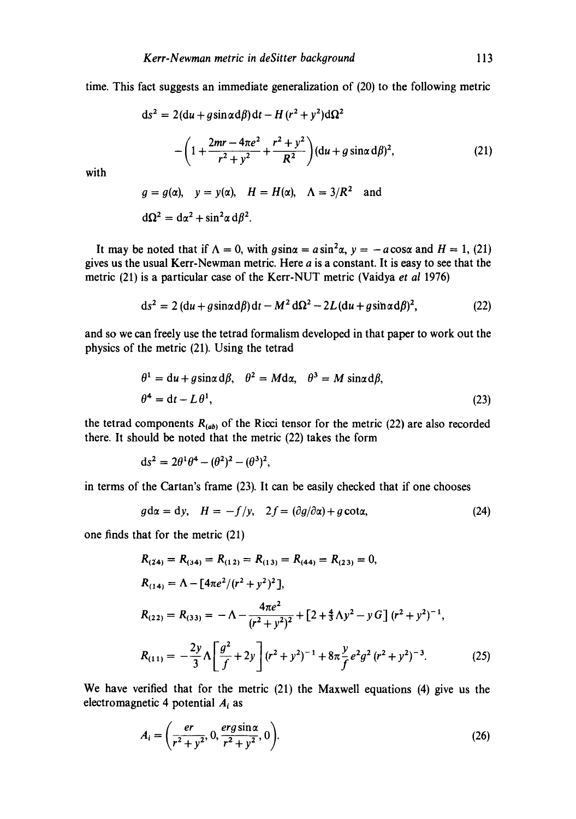time. This fact suggests an immediate generalization of (20) to the following metric

$$
ds^{2} = 2(du + g\sin\alpha d\beta)dt - H(r^{2} + y^{2})d\Omega^{2}
$$

$$
-\left(1 + \frac{2mr - 4\pi e^{2}}{r^{2} + y^{2}} + \frac{r^{2} + y^{2}}{R^{2}}\right)(du + g\sin\alpha d\beta)^{2}, \qquad (21)
$$

with

$$
g = g(\alpha),
$$
  $y = y(\alpha),$   $H = H(\alpha),$   $\Lambda = 3/R^2$  and  
 $d\Omega^2 = d\alpha^2 + \sin^2 \alpha d\beta^2.$ 

It may be noted that if  $\Lambda = 0$ , with  $g\sin\alpha = a\sin^2\alpha$ ,  $y = -a\cos\alpha$  and  $H = 1$ , (21) gives us the usual Kerr-Newman metric. Here  $a$  is a constant. It is easy to see that the metric (21) is a particular case of the Kerr-NUT metric (Vaidya *et al* 1976)

$$
ds^{2} = 2 (du + g\sin\alpha d\beta) dt - M^{2} d\Omega^{2} - 2L (du + g\sin\alpha d\beta)^{2},
$$
 (22)

and so we can freely use the tetrad formalism developed in that paper to work out the physics of the metric (21). Using the tetrad

$$
\theta^1 = du + g \sin \alpha d\beta, \quad \theta^2 = M d\alpha, \quad \theta^3 = M \sin \alpha d\beta,
$$
  

$$
\theta^4 = dt - L \theta^1,
$$
 (23)

the tetrad components  $R_{(ab)}$  of the Ricci tensor for the metric (22) are also recorded there. It should be noted that the metric (22) takes the form

$$
ds^2 = 2\theta^1\theta^4 - (\theta^2)^2 - (\theta^3)^2,
$$

in terms of the Cartan's frame (23). It can be easily checked that if one chooses

$$
g d\alpha = dy, \quad H = -f/y, \quad 2f = (\partial g/\partial \alpha) + g \cot \alpha, \tag{24}
$$

one finds that for the metric (21)

$$
R_{(24)} = R_{(34)} = R_{(12)} = R_{(13)} = R_{(44)} = R_{(23)} = 0,
$$
  
\n
$$
R_{(14)} = \Lambda - [4\pi e^2/(r^2 + y^2)^2],
$$
  
\n
$$
R_{(22)} = R_{(33)} = -\Lambda - \frac{4\pi e^2}{(r^2 + y^2)^2} + [2 + \frac{4}{3}\Lambda y^2 - y G] (r^2 + y^2)^{-1},
$$
  
\n
$$
R_{(11)} = -\frac{2y}{3} \Lambda \left[ \frac{g^2}{f} + 2y \right] (r^2 + y^2)^{-1} + 8\pi \frac{y}{f} e^2 g^2 (r^2 + y^2)^{-3}.
$$
 (25)

We have verified that for the metric (21) the Maxwell equations (4) give us the electromagnetic 4 potential  $A_i$  as

$$
A_i = \left(\frac{er}{r^2 + y^2}, 0, \frac{erg\sin\alpha}{r^2 + y^2}, 0\right).
$$
 (26)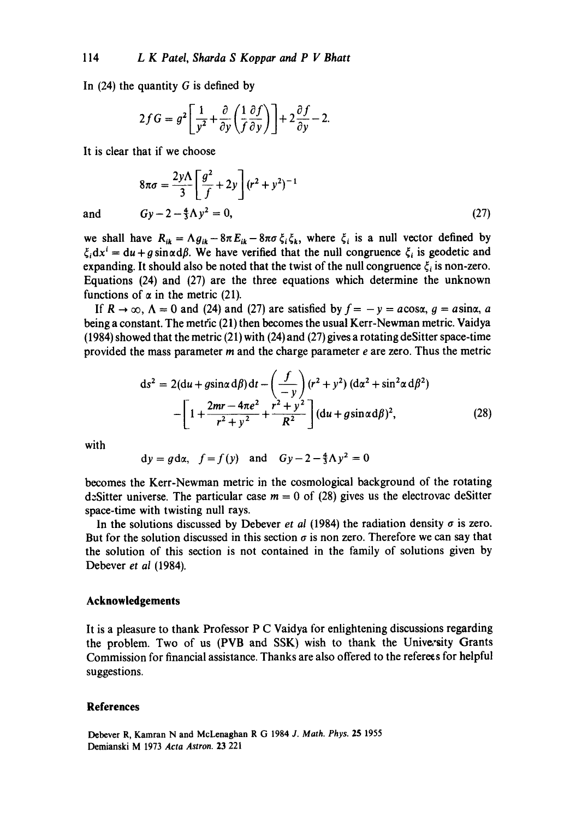In  $(24)$  the quantity G is defined by

$$
2fG = g^2 \left[ \frac{1}{y^2} + \frac{\partial}{\partial y} \left( \frac{1}{f} \frac{\partial f}{\partial y} \right) \right] + 2 \frac{\partial f}{\partial y} - 2.
$$

It is clear that if we choose

$$
8\pi\sigma = \frac{2y\Lambda}{3} \left[ \frac{g^2}{f} + 2y \right] (r^2 + y^2)^{-1}
$$
  
and 
$$
Gy - 2 - \frac{4}{3}\Lambda y^2 = 0,
$$
 (27)

we shall have  $R_{ik} = \Lambda g_{ik} - 8\pi E_{ik} - 8\pi\sigma \xi_i \xi_k$ , where  $\xi_i$  is a null vector defined by  $\zeta_i dx^i = du + g \sin \alpha d\beta$ . We have verified that the null congruence  $\zeta_i$  is geodetic and expanding. It should also be noted that the twist of the null congruence  $\xi_i$  is non-zero. Equations (24) and (27) are the three equations which determine the unknown functions of  $\alpha$  in the metric (21).

If  $R \to \infty$ ,  $\Lambda = 0$  and (24) and (27) are satisfied by  $f = -y = a \cos \alpha$ ,  $g = a \sin \alpha$ , a being a constant. The metric (21) then becomes the usual Kerr-Newman metric. Vaidya (1984) showed that the metric (21) with (24) and (27) gives a rotating deSitter space-time provided the mass parameter  $m$  and the charge parameter  $e$  are zero. Thus the metric

$$
ds^{2} = 2(du + g\sin\alpha d\beta)dt - \left(\frac{f}{-y}\right)(r^{2} + y^{2})(d\alpha^{2} + \sin^{2}\alpha d\beta^{2}) - \left[1 + \frac{2mr - 4\pi e^{2}}{r^{2} + y^{2}} + \frac{r^{2} + y^{2}}{R^{2}}\right](du + g\sin\alpha d\beta)^{2},
$$
\n(28)

with

$$
dy = g d\alpha
$$
,  $f = f(y)$  and  $Gy - 2 - \frac{4}{3}\Lambda y^2 = 0$ 

becomes the Kerr-Newman metric in the cosmological background of the rotating dzSitter universe. The particular case  $m = 0$  of (28) gives us the electrovac deSitter space-time with twisting null rays.

In the solutions discussed by Debever *et al* (1984) the radiation density  $\sigma$  is zero. But for the solution discussed in this section  $\sigma$  is non zero. Therefore we can say that the solution of this section is not contained in the family of solutions given by Debever *et al* (1984).

### **Acknowledgements**

It is a pleasure to thank Professor P C Vaidya for enlightening discussions regarding the problem. Two of us (PVB and SSK) wish to thank the University Grants Commission for financial assistance. Thanks are also offered to the referees for helpful suggestions.

#### **References**

Debever R, Kamran N and McLenaghan R G 1984 *J. Math. Phys.* 25 1955 Demianski M 1973 *Acta Astron.* 23 221